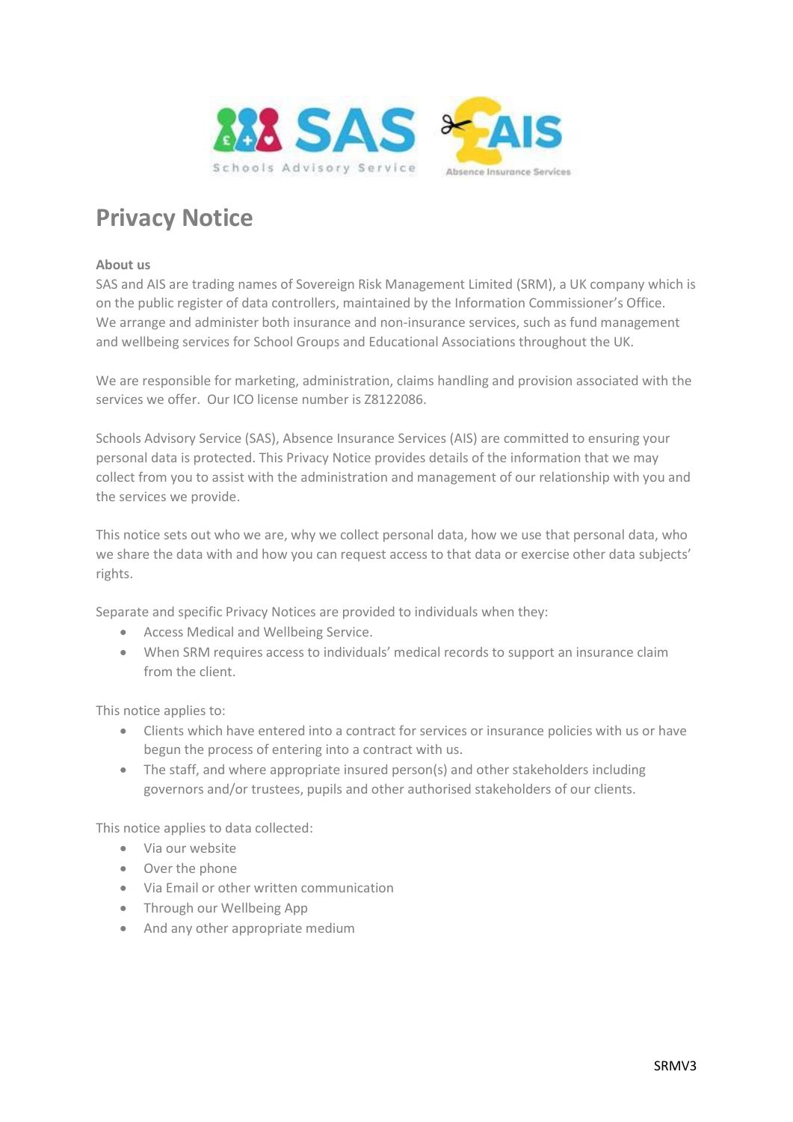

# **Privacy Notice**

## **About us**

SAS and AIS are trading names of Sovereign Risk Management Limited (SRM), a UK company which is on the public register of data controllers, maintained by the Information Commissioner's Office. We arrange and administer both insurance and non-insurance services, such as fund management and wellbeing services for School Groups and Educational Associations throughout the UK.

We are responsible for marketing, administration, claims handling and provision associated with the services we offer. Our ICO license number is Z8122086.

Schools Advisory Service (SAS), Absence Insurance Services (AIS) are committed to ensuring your personal data is protected. This Privacy Notice provides details of the information that we may collect from you to assist with the administration and management of our relationship with you and the services we provide.

This notice sets out who we are, why we collect personal data, how we use that personal data, who we share the data with and how you can request access to that data or exercise other data subjects' rights.

Separate and specific Privacy Notices are provided to individuals when they:

- Access Medical and Wellbeing Service.
- When SRM requires access to individuals' medical records to support an insurance claim from the client.

This notice applies to:

- Clients which have entered into a contract for services or insurance policies with us or have begun the process of entering into a contract with us.
- The staff, and where appropriate insured person(s) and other stakeholders including governors and/or trustees, pupils and other authorised stakeholders of our clients.

This notice applies to data collected:

- Via our website
- Over the phone
- Via Email or other written communication
- Through our Wellbeing App
- And any other appropriate medium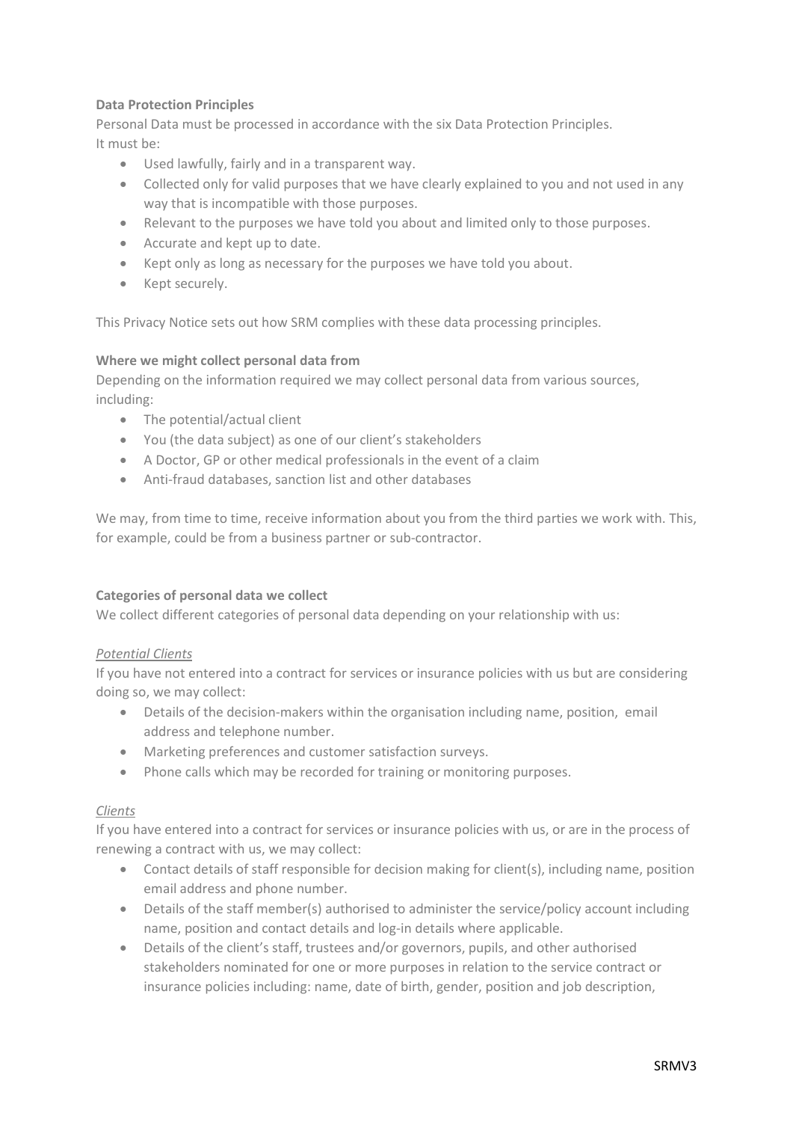# **Data Protection Principles**

Personal Data must be processed in accordance with the six Data Protection Principles. It must be:

- Used lawfully, fairly and in a transparent way.
- Collected only for valid purposes that we have clearly explained to you and not used in any way that is incompatible with those purposes.
- Relevant to the purposes we have told you about and limited only to those purposes.
- Accurate and kept up to date.
- Kept only as long as necessary for the purposes we have told you about.
- Kept securely.

This Privacy Notice sets out how SRM complies with these data processing principles.

## **Where we might collect personal data from**

Depending on the information required we may collect personal data from various sources, including:

- The potential/actual client
- You (the data subject) as one of our client's stakeholders
- A Doctor, GP or other medical professionals in the event of a claim
- Anti-fraud databases, sanction list and other databases

We may, from time to time, receive information about you from the third parties we work with. This, for example, could be from a business partner or sub-contractor.

# **Categories of personal data we collect**

We collect different categories of personal data depending on your relationship with us:

# *Potential Clients*

If you have not entered into a contract for services or insurance policies with us but are considering doing so, we may collect:

- Details of the decision-makers within the organisation including name, position, email address and telephone number.
- Marketing preferences and customer satisfaction surveys.
- Phone calls which may be recorded for training or monitoring purposes.

# *Clients*

If you have entered into a contract for services or insurance policies with us, or are in the process of renewing a contract with us, we may collect:

- Contact details of staff responsible for decision making for client(s), including name, position email address and phone number.
- Details of the staff member(s) authorised to administer the service/policy account including name, position and contact details and log-in details where applicable.
- Details of the client's staff, trustees and/or governors, pupils, and other authorised stakeholders nominated for one or more purposes in relation to the service contract or insurance policies including: name, date of birth, gender, position and job description,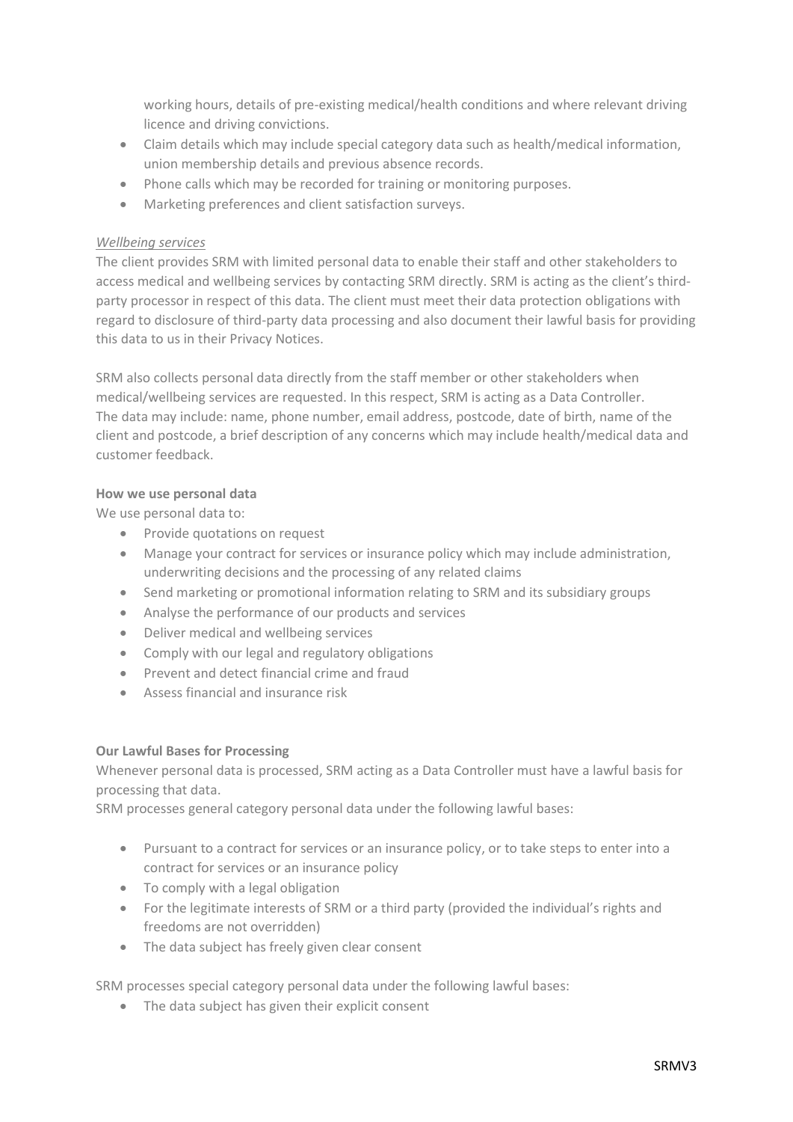working hours, details of pre-existing medical/health conditions and where relevant driving licence and driving convictions.

- Claim details which may include special category data such as health/medical information, union membership details and previous absence records.
- Phone calls which may be recorded for training or monitoring purposes.
- Marketing preferences and client satisfaction surveys.

## *Wellbeing services*

The client provides SRM with limited personal data to enable their staff and other stakeholders to access medical and wellbeing services by contacting SRM directly. SRM is acting as the client's thirdparty processor in respect of this data. The client must meet their data protection obligations with regard to disclosure of third-party data processing and also document their lawful basis for providing this data to us in their Privacy Notices.

SRM also collects personal data directly from the staff member or other stakeholders when medical/wellbeing services are requested. In this respect, SRM is acting as a Data Controller. The data may include: name, phone number, email address, postcode, date of birth, name of the client and postcode, a brief description of any concerns which may include health/medical data and customer feedback.

## **How we use personal data**

We use personal data to:

- Provide quotations on request
- Manage your contract for services or insurance policy which may include administration, underwriting decisions and the processing of any related claims
- Send marketing or promotional information relating to SRM and its subsidiary groups
- Analyse the performance of our products and services
- Deliver medical and wellbeing services
- Comply with our legal and regulatory obligations
- Prevent and detect financial crime and fraud
- Assess financial and insurance risk

# **Our Lawful Bases for Processing**

Whenever personal data is processed, SRM acting as a Data Controller must have a lawful basis for processing that data.

SRM processes general category personal data under the following lawful bases:

- Pursuant to a contract for services or an insurance policy, or to take steps to enter into a contract for services or an insurance policy
- To comply with a legal obligation
- For the legitimate interests of SRM or a third party (provided the individual's rights and freedoms are not overridden)
- The data subject has freely given clear consent

SRM processes special category personal data under the following lawful bases:

• The data subject has given their explicit consent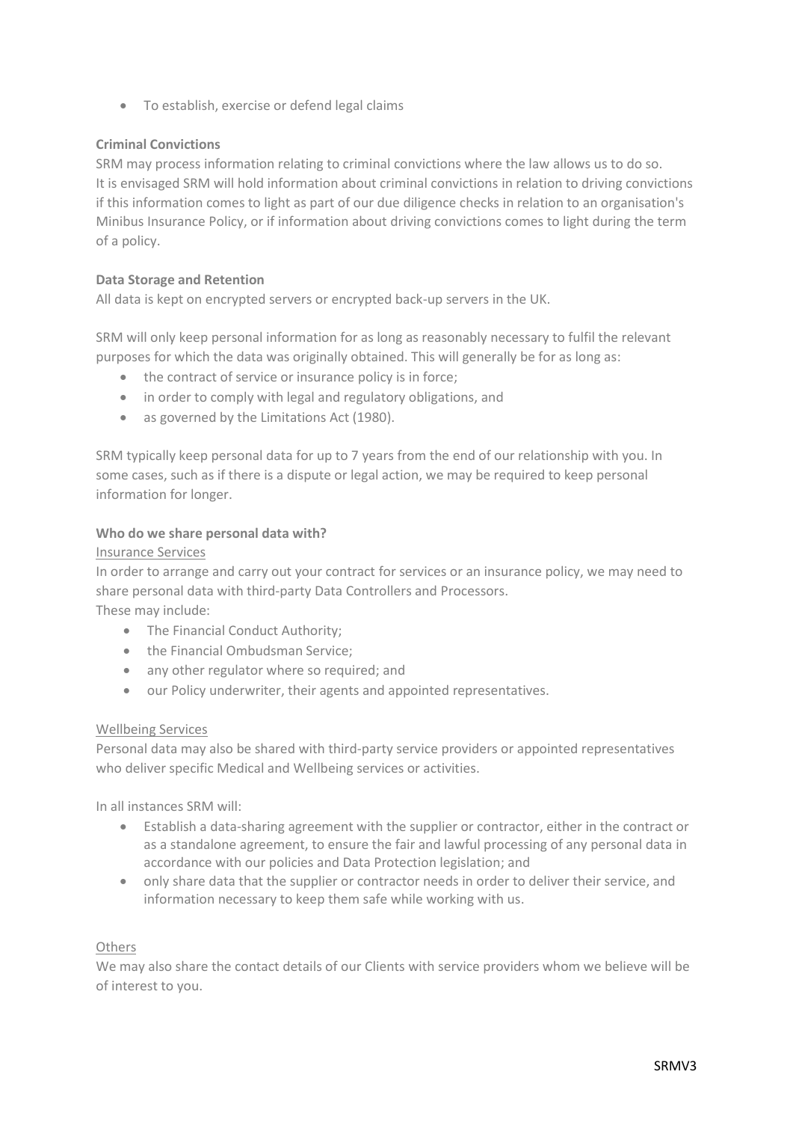• To establish, exercise or defend legal claims

# **Criminal Convictions**

SRM may process information relating to criminal convictions where the law allows us to do so. It is envisaged SRM will hold information about criminal convictions in relation to driving convictions if this information comes to light as part of our due diligence checks in relation to an organisation's Minibus Insurance Policy, or if information about driving convictions comes to light during the term of a policy.

## **Data Storage and Retention**

All data is kept on encrypted servers or encrypted back-up servers in the UK.

SRM will only keep personal information for as long as reasonably necessary to fulfil the relevant purposes for which the data was originally obtained. This will generally be for as long as:

- the contract of service or insurance policy is in force;
- in order to comply with legal and regulatory obligations, and
- as governed by the Limitations Act (1980).

SRM typically keep personal data for up to 7 years from the end of our relationship with you. In some cases, such as if there is a dispute or legal action, we may be required to keep personal information for longer.

## **Who do we share personal data with?**

## Insurance Services

In order to arrange and carry out your contract for services or an insurance policy, we may need to share personal data with third-party Data Controllers and Processors. These may include:

- The Financial Conduct Authority;
- the Financial Ombudsman Service:
- any other regulator where so required; and
- our Policy underwriter, their agents and appointed representatives.

# Wellbeing Services

Personal data may also be shared with third-party service providers or appointed representatives who deliver specific Medical and Wellbeing services or activities.

In all instances SRM will:

- Establish a data-sharing agreement with the supplier or contractor, either in the contract or as a standalone agreement, to ensure the fair and lawful processing of any personal data in accordance with our policies and Data Protection legislation; and
- only share data that the supplier or contractor needs in order to deliver their service, and information necessary to keep them safe while working with us.

# **Others**

We may also share the contact details of our Clients with service providers whom we believe will be of interest to you.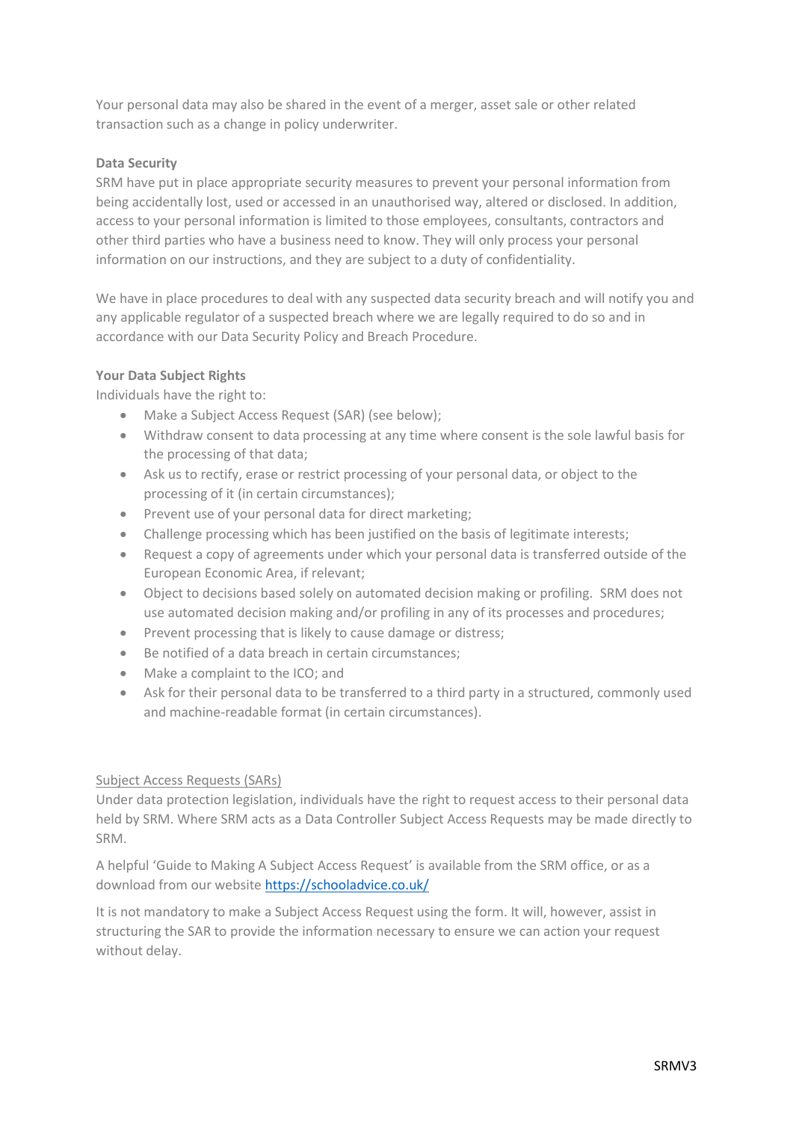Your personal data may also be shared in the event of a merger, asset sale or other related transaction such as a change in policy underwriter.

## **Data Security**

SRM have put in place appropriate security measures to prevent your personal information from being accidentally lost, used or accessed in an unauthorised way, altered or disclosed. In addition, access to your personal information is limited to those employees, consultants, contractors and other third parties who have a business need to know. They will only process your personal information on our instructions, and they are subject to a duty of confidentiality.

We have in place procedures to deal with any suspected data security breach and will notify you and any applicable regulator of a suspected breach where we are legally required to do so and in accordance with our Data Security Policy and Breach Procedure.

## **Your Data Subject Rights**

Individuals have the right to:

- Make a Subject Access Request (SAR) (see below);
- Withdraw consent to data processing at any time where consent is the sole lawful basis for the processing of that data;
- Ask us to rectify, erase or restrict processing of your personal data, or object to the processing of it (in certain circumstances);
- Prevent use of your personal data for direct marketing;
- Challenge processing which has been justified on the basis of legitimate interests;
- Request a copy of agreements under which your personal data is transferred outside of the European Economic Area, if relevant;
- Object to decisions based solely on automated decision making or profiling. SRM does not use automated decision making and/or profiling in any of its processes and procedures;
- Prevent processing that is likely to cause damage or distress;
- Be notified of a data breach in certain circumstances;
- Make a complaint to the ICO; and
- Ask for their personal data to be transferred to a third party in a structured, commonly used and machine-readable format (in certain circumstances).

#### Subject Access Requests (SARs)

Under data protection legislation, individuals have the right to request access to their personal data held by SRM. Where SRM acts as a Data Controller Subject Access Requests may be made directly to SRM.

A helpful 'Guide to Making A Subject Access Request' is available from the SRM office, or as a download from our website <https://schooladvice.co.uk/>

It is not mandatory to make a Subject Access Request using the form. It will, however, assist in structuring the SAR to provide the information necessary to ensure we can action your request without delay.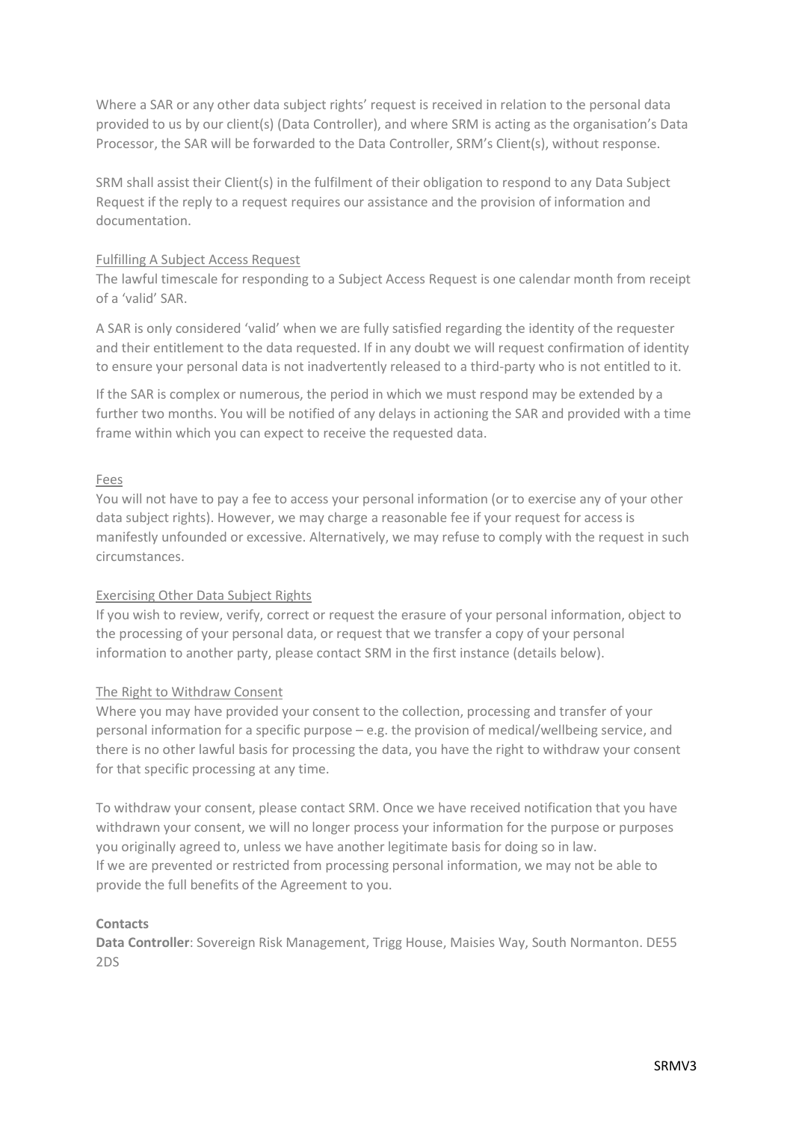Where a SAR or any other data subject rights' request is received in relation to the personal data provided to us by our client(s) (Data Controller), and where SRM is acting as the organisation's Data Processor, the SAR will be forwarded to the Data Controller, SRM's Client(s), without response.

SRM shall assist their Client(s) in the fulfilment of their obligation to respond to any Data Subject Request if the reply to a request requires our assistance and the provision of information and documentation.

## Fulfilling A Subject Access Request

The lawful timescale for responding to a Subject Access Request is one calendar month from receipt of a 'valid' SAR.

A SAR is only considered 'valid' when we are fully satisfied regarding the identity of the requester and their entitlement to the data requested. If in any doubt we will request confirmation of identity to ensure your personal data is not inadvertently released to a third-party who is not entitled to it.

If the SAR is complex or numerous, the period in which we must respond may be extended by a further two months. You will be notified of any delays in actioning the SAR and provided with a time frame within which you can expect to receive the requested data.

## Fees

You will not have to pay a fee to access your personal information (or to exercise any of your other data subject rights). However, we may charge a reasonable fee if your request for access is manifestly unfounded or excessive. Alternatively, we may refuse to comply with the request in such circumstances.

#### Exercising Other Data Subject Rights

If you wish to review, verify, correct or request the erasure of your personal information, object to the processing of your personal data, or request that we transfer a copy of your personal information to another party, please contact SRM in the first instance (details below).

#### The Right to Withdraw Consent

Where you may have provided your consent to the collection, processing and transfer of your personal information for a specific purpose – e.g. the provision of medical/wellbeing service, and there is no other lawful basis for processing the data, you have the right to withdraw your consent for that specific processing at any time.

To withdraw your consent, please contact SRM. Once we have received notification that you have withdrawn your consent, we will no longer process your information for the purpose or purposes you originally agreed to, unless we have another legitimate basis for doing so in law. If we are prevented or restricted from processing personal information, we may not be able to provide the full benefits of the Agreement to you.

#### **Contacts**

**Data Controller**: Sovereign Risk Management, Trigg House, Maisies Way, South Normanton. DE55 2DS